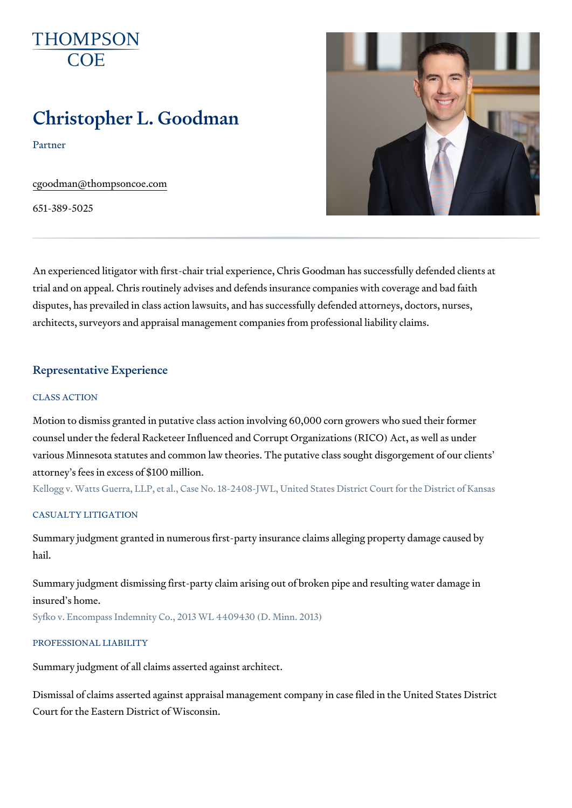# Christopher L. Goodman

Partner

[cgoodman@thomps](mailto:cgoodman@thompsoncoe.com)oncoe.com

651-389-5025

An experienced litigator with first-chair trial experience, Chris Goodman h trial and on appeal. Chris routinely advises and defends insurance compan disputes, has prevailed in class action lawsuits, and has successfully defe architects, surveyors and appraisal management companies from professio

## Representative Experience

#### CLASS ACTION

Motion to dismiss granted in putative class action involving 60,000 corn gr counsel under the federal Racketeer Influenced and Corrupt Organizations various Minnesota statutes and common law theories. The putative class  $s \circ$ attorney s fees in excess of \$100 million.

Kellogg v. Watts Guerra, LLP, et al., Case No. 18-2408-JWL, United States Dist

#### CASUALTY LITIGATION

Summary judgment granted in numerous first-party insurance claims allegii hail.

Summary judgment dismissing first-party claim arising out of broken pipe a insured s home.

Syfko v. Encompass Indemnity Co., 2013 WL 4409430 (D. Minn. 2013)

#### PROFESSIONAL LIABILITY

Summary judgment of all claims asserted against architect.

Dismissal of claims asserted against appraisal management company in ca Court for the Eastern District of Wisconsin.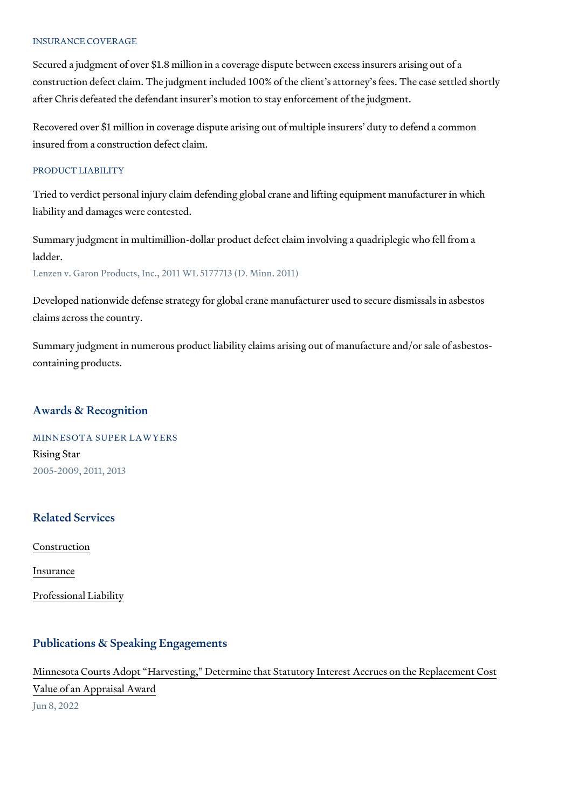#### INSURANCE COVERAGE

Secured a judgment of over \$1.8 million in a coverage dispute between exc construction defect claim. The judgment included 100% of the client s atto after Chris defeated the defendant insurer s motion to stay enforcement of

Recovered over \$1 million in coverage dispute arising out of multiple insure insured from a construction defect claim.

#### PRODUCT LIABILITY

Tried to verdict personal injury claim defending global crane and lifting eq liability and damages were contested.

Summary judgment in multimillion-dollar product defect claim involving a q ladder.

Lenzen v. Garon Products, Inc., 2011 WL 5177713 (D. Minn. 2011)

Developed nationwide defense strategy for global crane manufacturer used claims across the country.

Summary judgment in numerous product liability claims arising out of manu containing products.

## Awards & Recognition

MINNESOTA SUPER LAWYERS Rising Star 2005-2009, 2011, 2013

## Related Services

[Constru](https://www.thompsoncoe.com/people/christopher-l-goodman/)ction

[Insura](https://www.thompsoncoe.com/people/christopher-l-goodman/)nce

[Professional](https://www.thompsoncoe.com/people/christopher-l-goodman/) Liability

#### Publications & Speaking Engagements

## Minnesota Courts Adopt Harvesting, Determine that Statutory Interest Ac

[Value of an Appra](https://www.thompsoncoe.com/resources/publications/minnesota-courts-adopt-harvesting-determine-that-statutory-interest-accrues-on-the-replacement-cost-value-of-an-appraisal-award/)isal Award Jun 8, 2022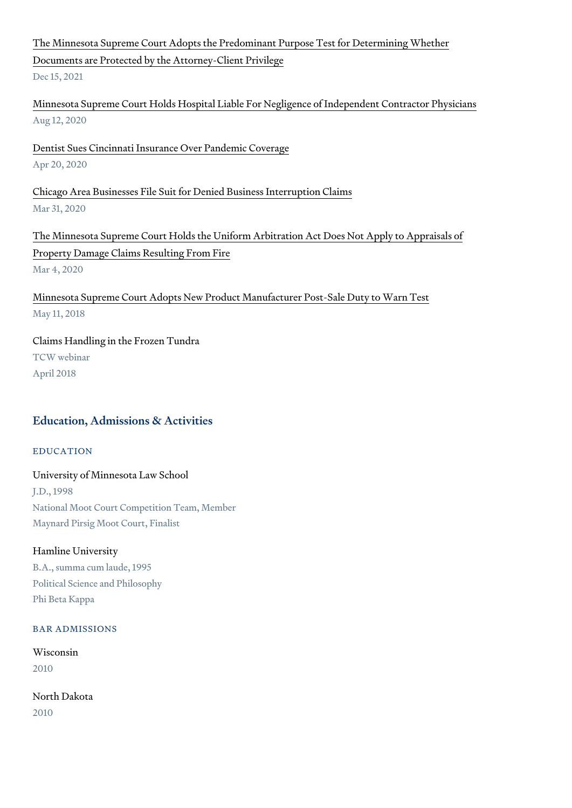## [The Minnesota Supreme Court Adopts the Predominant Pur](https://www.thompsoncoe.com/resources/publications/the-minnesota-supreme-court-adopts-the-predominant-purpose-test-for-determining-whether-documents-are-protected-by-the-attorney-client-privilege/)pose Test for De [Documents are Protected by the At](https://www.thompsoncoe.com/resources/publications/the-minnesota-supreme-court-adopts-the-predominant-purpose-test-for-determining-whether-documents-are-protected-by-the-attorney-client-privilege/)torney-Client Privilege Dec 15, 2021

[Minnesota Supreme Court Holds Hospital Liable For Negligenc](https://www.thompsoncoe.com/resources/publications/minnesota-supreme-court-holds-hospital-liable-for-negligence-of-independent-contractor-physicians/)e of Indepen Aug 12, 2020

[Dentist Sues Cincinnati Insurance O](https://www.thompsoncoe.com/resources/publications/dentist-sues-cincinnati-insurance-over-pandemic-coverage/)ver Pandemic Coverage Apr 20, 2020

[Chicago Area Businesses File Suit for Denie](https://www.thompsoncoe.com/resources/publications/chicago-area-businesses-file-suit-for-denied-business-interruption-claims/)d Business Interruption Claims Mar 31, 2020

[The Minnesota Supreme Court Holds the Uniform Arbitration](https://www.thompsoncoe.com/resources/publications/the-minnesota-supreme-court-holds-the-uniform-arbitration-act-does-not-apply-to-appraisals-of-property-damage-claims-resulting-from-fire/) Act Does Not . [Property Damage Claims Re](https://www.thompsoncoe.com/resources/publications/the-minnesota-supreme-court-holds-the-uniform-arbitration-act-does-not-apply-to-appraisals-of-property-damage-claims-resulting-from-fire/)sulting From Fire Mar 4, 2020

[Minnesota Supreme Court Adopts New Product Manufac](https://www.thompsoncoe.com/resources/publications/minnesota-supreme-court-adopts-new-product-manufacturer-post-sale-duty-to-warn-test/)turer Post-Sale Duty May 11, 2018

Claims Handling in the Frozen Tundra TCW webinar April 2018

## Education, Admissions & Activities

EDUCATION

#### University of Minnesota Law School

J.D., 1998 National Moot Court Competition Team, Member Maynard Pirsig Moot Court, Finalist

#### Hamline University

B.A., summa cum laude, 1995 Political Science and Philosophy Phi Beta Kappa

#### BAR ADMISSIONS

Wisconsin 2010

North Dakota 2010